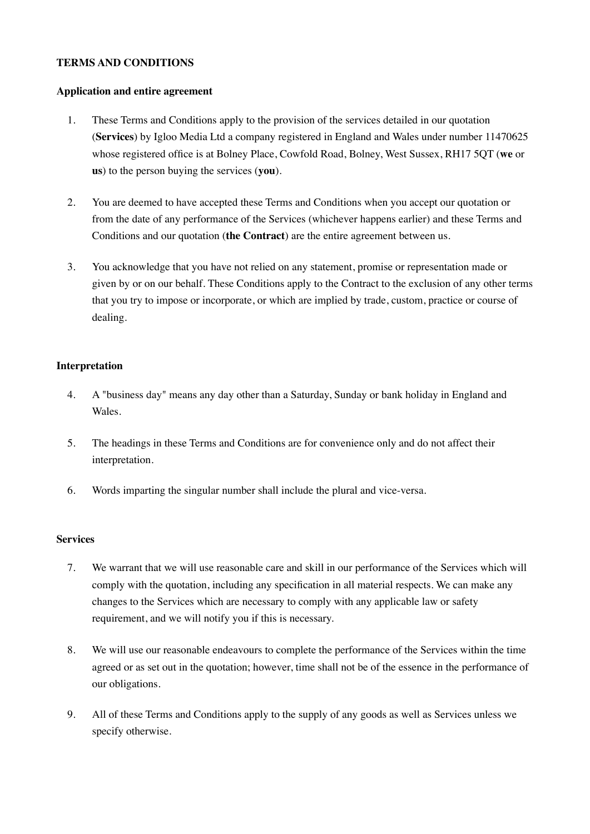#### **TERMS AND CONDITIONS**

#### **Application and entire agreement**

- 1. These Terms and Conditions apply to the provision of the services detailed in our quotation (**Services**) by Igloo Media Ltd a company registered in England and Wales under number 11470625 whose registered office is at Bolney Place, Cowfold Road, Bolney, West Sussex, RH17 5QT (**we** or **us**) to the person buying the services (**you**).
- 2. You are deemed to have accepted these Terms and Conditions when you accept our quotation or from the date of any performance of the Services (whichever happens earlier) and these Terms and Conditions and our quotation (**the Contract**) are the entire agreement between us.
- 3. You acknowledge that you have not relied on any statement, promise or representation made or given by or on our behalf. These Conditions apply to the Contract to the exclusion of any other terms that you try to impose or incorporate, or which are implied by trade, custom, practice or course of dealing.

### **Interpretation**

- 4. A "business day" means any day other than a Saturday, Sunday or bank holiday in England and Wales.
- 5. The headings in these Terms and Conditions are for convenience only and do not affect their interpretation.
- 6. Words imparting the singular number shall include the plural and vice-versa.

#### **Services**

- 7. We warrant that we will use reasonable care and skill in our performance of the Services which will comply with the quotation, including any specification in all material respects. We can make any changes to the Services which are necessary to comply with any applicable law or safety requirement, and we will notify you if this is necessary.
- 8. We will use our reasonable endeavours to complete the performance of the Services within the time agreed or as set out in the quotation; however, time shall not be of the essence in the performance of our obligations.
- 9. All of these Terms and Conditions apply to the supply of any goods as well as Services unless we specify otherwise.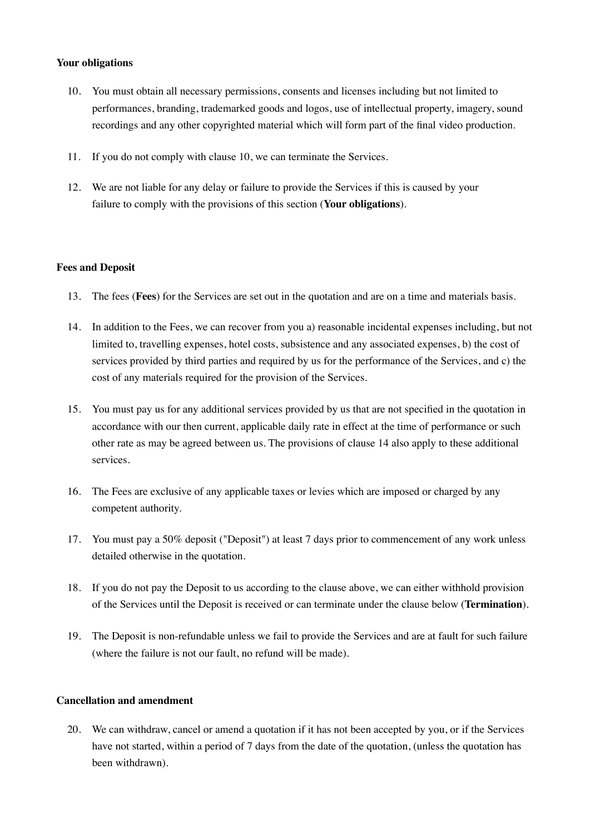### **Your obligations**

- 10. You must obtain all necessary permissions, consents and licenses including but not limited to performances, branding, trademarked goods and logos, use of intellectual property, imagery, sound recordings and any other copyrighted material which will form part of the final video production.
- 11. If you do not comply with clause 10, we can terminate the Services.
- 12. We are not liable for any delay or failure to provide the Services if this is caused by your failure to comply with the provisions of this section (**Your obligations**).

#### **Fees and Deposit**

- 13. The fees (**Fees**) for the Services are set out in the quotation and are on a time and materials basis.
- 14. In addition to the Fees, we can recover from you a) reasonable incidental expenses including, but not limited to, travelling expenses, hotel costs, subsistence and any associated expenses, b) the cost of services provided by third parties and required by us for the performance of the Services, and c) the cost of any materials required for the provision of the Services.
- 15. You must pay us for any additional services provided by us that are not specified in the quotation in accordance with our then current, applicable daily rate in effect at the time of performance or such other rate as may be agreed between us. The provisions of clause 14 also apply to these additional services.
- 16. The Fees are exclusive of any applicable taxes or levies which are imposed or charged by any competent authority.
- 17. You must pay a 50% deposit ("Deposit") at least 7 days prior to commencement of any work unless detailed otherwise in the quotation.
- 18. If you do not pay the Deposit to us according to the clause above, we can either withhold provision of the Services until the Deposit is received or can terminate under the clause below (**Termination**).
- 19. The Deposit is non-refundable unless we fail to provide the Services and are at fault for such failure (where the failure is not our fault, no refund will be made).

#### **Cancellation and amendment**

20. We can withdraw, cancel or amend a quotation if it has not been accepted by you, or if the Services have not started, within a period of 7 days from the date of the quotation, (unless the quotation has been withdrawn).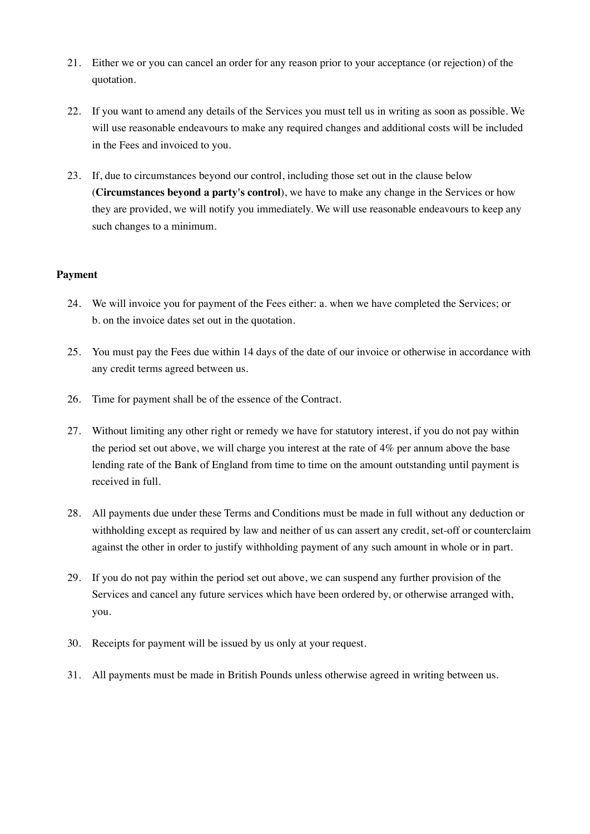- 21. Either we or you can cancel an order for any reason prior to your acceptance (or rejection) of the quotation.
- 22. If you want to amend any details of the Services you must tell us in writing as soon as possible. We will use reasonable endeavours to make any required changes and additional costs will be included in the Fees and invoiced to you.
- 23. If, due to circumstances beyond our control, including those set out in the clause below (**Circumstances beyond a party's control**), we have to make any change in the Services or how they are provided, we will notify you immediately. We will use reasonable endeavours to keep any such changes to a minimum.

# **Payment**

- 24. We will invoice you for payment of the Fees either: a. when we have completed the Services; or b. on the invoice dates set out in the quotation.
- 25. You must pay the Fees due within 14 days of the date of our invoice or otherwise in accordance with any credit terms agreed between us.
- 26. Time for payment shall be of the essence of the Contract.
- 27. Without limiting any other right or remedy we have for statutory interest, if you do not pay within the period set out above, we will charge you interest at the rate of 4% per annum above the base lending rate of the Bank of England from time to time on the amount outstanding until payment is received in full.
- 28. All payments due under these Terms and Conditions must be made in full without any deduction or withholding except as required by law and neither of us can assert any credit, set-off or counterclaim against the other in order to justify withholding payment of any such amount in whole or in part.
- 29. If you do not pay within the period set out above, we can suspend any further provision of the Services and cancel any future services which have been ordered by, or otherwise arranged with, you.
- 30. Receipts for payment will be issued by us only at your request.
- 31. All payments must be made in British Pounds unless otherwise agreed in writing between us.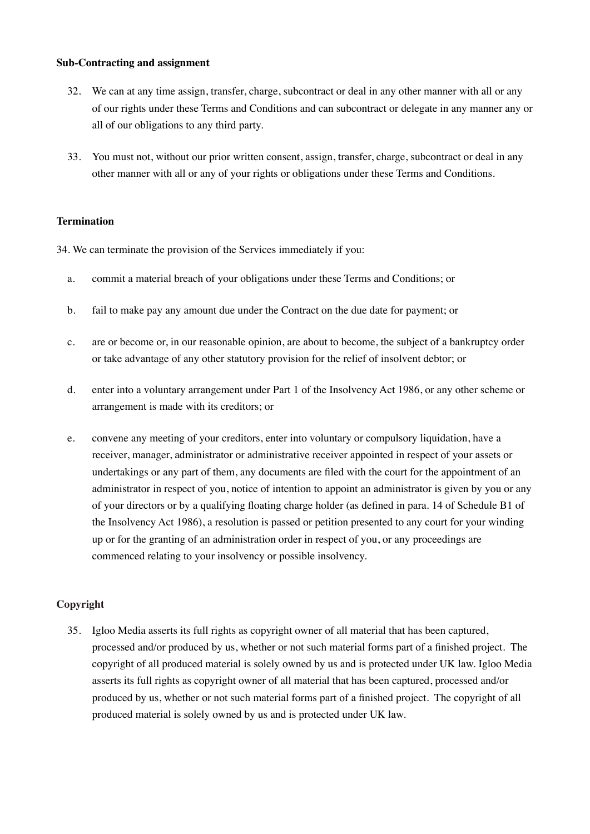#### **Sub-Contracting and assignment**

- 32. We can at any time assign, transfer, charge, subcontract or deal in any other manner with all or any of our rights under these Terms and Conditions and can subcontract or delegate in any manner any or all of our obligations to any third party.
- 33. You must not, without our prior written consent, assign, transfer, charge, subcontract or deal in any other manner with all or any of your rights or obligations under these Terms and Conditions.

### **Termination**

34. We can terminate the provision of the Services immediately if you:

- a. commit a material breach of your obligations under these Terms and Conditions; or
- b. fail to make pay any amount due under the Contract on the due date for payment; or
- c. are or become or, in our reasonable opinion, are about to become, the subject of a bankruptcy order or take advantage of any other statutory provision for the relief of insolvent debtor; or
- d. enter into a voluntary arrangement under Part 1 of the Insolvency Act 1986, or any other scheme or arrangement is made with its creditors; or
- e. convene any meeting of your creditors, enter into voluntary or compulsory liquidation, have a receiver, manager, administrator or administrative receiver appointed in respect of your assets or undertakings or any part of them, any documents are filed with the court for the appointment of an administrator in respect of you, notice of intention to appoint an administrator is given by you or any of your directors or by a qualifying floating charge holder (as defined in para. 14 of Schedule B1 of the Insolvency Act 1986), a resolution is passed or petition presented to any court for your winding up or for the granting of an administration order in respect of you, or any proceedings are commenced relating to your insolvency or possible insolvency.

# **Copyright**

35. Igloo Media asserts its full rights as copyright owner of all material that has been captured, processed and/or produced by us, whether or not such material forms part of a finished project. The copyright of all produced material is solely owned by us and is protected under UK law. Igloo Media asserts its full rights as copyright owner of all material that has been captured, processed and/or produced by us, whether or not such material forms part of a finished project. The copyright of all produced material is solely owned by us and is protected under UK law.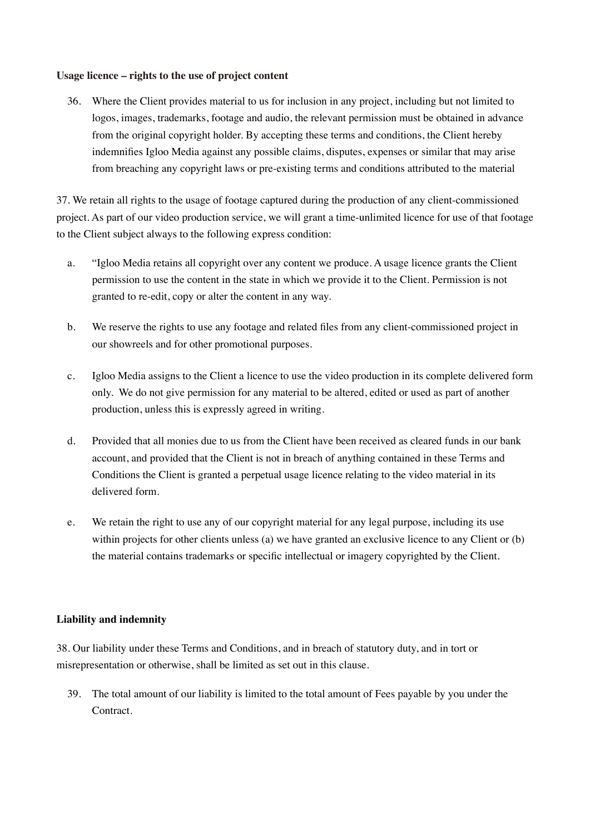#### **Usage licence – rights to the use of project content**

36. Where the Client provides material to us for inclusion in any project, including but not limited to logos, images, trademarks, footage and audio, the relevant permission must be obtained in advance from the original copyright holder. By accepting these terms and conditions, the Client hereby indemnifies Igloo Media against any possible claims, disputes, expenses or similar that may arise from breaching any copyright laws or pre-existing terms and conditions attributed to the material

37. We retain all rights to the usage of footage captured during the production of any client-commissioned project. As part of our video production service, we will grant a time-unlimited licence for use of that footage to the Client subject always to the following express condition:

- a. "Igloo Media retains all copyright over any content we produce. A usage licence grants the Client permission to use the content in the state in which we provide it to the Client. Permission is not granted to re-edit, copy or alter the content in any way.
- b. We reserve the rights to use any footage and related files from any client-commissioned project in our showreels and for other promotional purposes.
- c. Igloo Media assigns to the Client a licence to use the video production in its complete delivered form only. We do not give permission for any material to be altered, edited or used as part of another production, unless this is expressly agreed in writing.
- d. Provided that all monies due to us from the Client have been received as cleared funds in our bank account, and provided that the Client is not in breach of anything contained in these Terms and Conditions the Client is granted a perpetual usage licence relating to the video material in its delivered form.
- e. We retain the right to use any of our copyright material for any legal purpose, including its use within projects for other clients unless (a) we have granted an exclusive licence to any Client or (b) the material contains trademarks or specific intellectual or imagery copyrighted by the Client.

# **Liability and indemnity**

38. Our liability under these Terms and Conditions, and in breach of statutory duty, and in tort or misrepresentation or otherwise, shall be limited as set out in this clause.

39. The total amount of our liability is limited to the total amount of Fees payable by you under the Contract.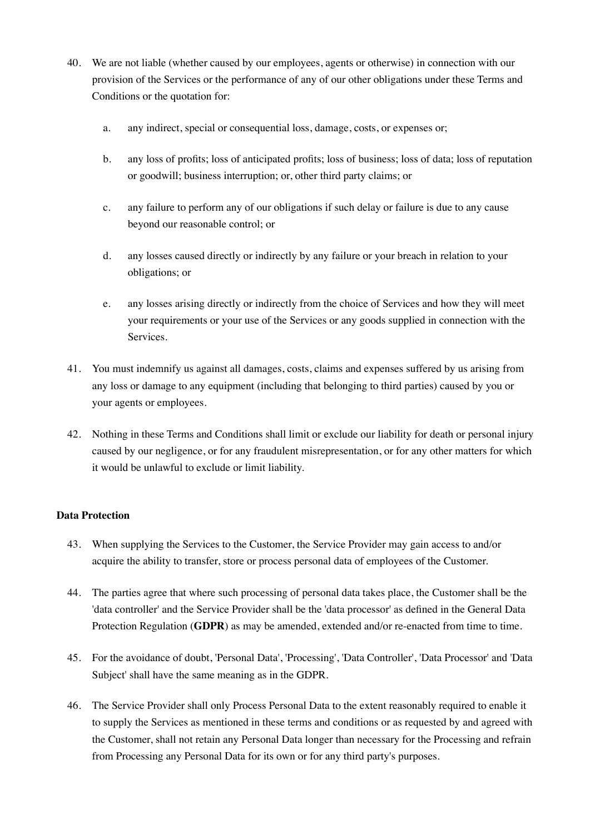- 40. We are not liable (whether caused by our employees, agents or otherwise) in connection with our provision of the Services or the performance of any of our other obligations under these Terms and Conditions or the quotation for:
	- a. any indirect, special or consequential loss, damage, costs, or expenses or;
	- b. any loss of profits; loss of anticipated profits; loss of business; loss of data; loss of reputation or goodwill; business interruption; or, other third party claims; or
	- c. any failure to perform any of our obligations if such delay or failure is due to any cause beyond our reasonable control; or
	- d. any losses caused directly or indirectly by any failure or your breach in relation to your obligations; or
	- e. any losses arising directly or indirectly from the choice of Services and how they will meet your requirements or your use of the Services or any goods supplied in connection with the Services.
- 41. You must indemnify us against all damages, costs, claims and expenses suffered by us arising from any loss or damage to any equipment (including that belonging to third parties) caused by you or your agents or employees.
- 42. Nothing in these Terms and Conditions shall limit or exclude our liability for death or personal injury caused by our negligence, or for any fraudulent misrepresentation, or for any other matters for which it would be unlawful to exclude or limit liability.

# **Data Protection**

- 43. When supplying the Services to the Customer, the Service Provider may gain access to and/or acquire the ability to transfer, store or process personal data of employees of the Customer.
- 44. The parties agree that where such processing of personal data takes place, the Customer shall be the 'data controller' and the Service Provider shall be the 'data processor' as defined in the General Data Protection Regulation (**GDPR**) as may be amended, extended and/or re-enacted from time to time.
- 45. For the avoidance of doubt, 'Personal Data', 'Processing', 'Data Controller', 'Data Processor' and 'Data Subject' shall have the same meaning as in the GDPR.
- 46. The Service Provider shall only Process Personal Data to the extent reasonably required to enable it to supply the Services as mentioned in these terms and conditions or as requested by and agreed with the Customer, shall not retain any Personal Data longer than necessary for the Processing and refrain from Processing any Personal Data for its own or for any third party's purposes.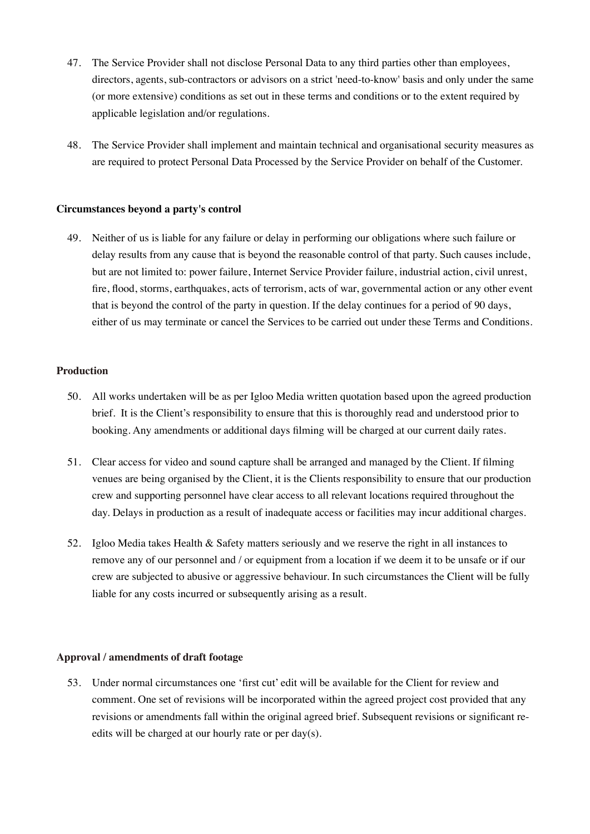- 47. The Service Provider shall not disclose Personal Data to any third parties other than employees, directors, agents, sub-contractors or advisors on a strict 'need-to-know' basis and only under the same (or more extensive) conditions as set out in these terms and conditions or to the extent required by applicable legislation and/or regulations.
- 48. The Service Provider shall implement and maintain technical and organisational security measures as are required to protect Personal Data Processed by the Service Provider on behalf of the Customer.

#### **Circumstances beyond a party's control**

49. Neither of us is liable for any failure or delay in performing our obligations where such failure or delay results from any cause that is beyond the reasonable control of that party. Such causes include, but are not limited to: power failure, Internet Service Provider failure, industrial action, civil unrest, fire, flood, storms, earthquakes, acts of terrorism, acts of war, governmental action or any other event that is beyond the control of the party in question. If the delay continues for a period of 90 days, either of us may terminate or cancel the Services to be carried out under these Terms and Conditions.

### **Production**

- 50. All works undertaken will be as per Igloo Media written quotation based upon the agreed production brief. It is the Client's responsibility to ensure that this is thoroughly read and understood prior to booking. Any amendments or additional days filming will be charged at our current daily rates.
- 51. Clear access for video and sound capture shall be arranged and managed by the Client. If filming venues are being organised by the Client, it is the Clients responsibility to ensure that our production crew and supporting personnel have clear access to all relevant locations required throughout the day. Delays in production as a result of inadequate access or facilities may incur additional charges.
- 52. Igloo Media takes Health & Safety matters seriously and we reserve the right in all instances to remove any of our personnel and / or equipment from a location if we deem it to be unsafe or if our crew are subjected to abusive or aggressive behaviour. In such circumstances the Client will be fully liable for any costs incurred or subsequently arising as a result.

### **Approval / amendments of draft footage**

53. Under normal circumstances one 'first cut' edit will be available for the Client for review and comment. One set of revisions will be incorporated within the agreed project cost provided that any revisions or amendments fall within the original agreed brief. Subsequent revisions or significant reedits will be charged at our hourly rate or per day(s).